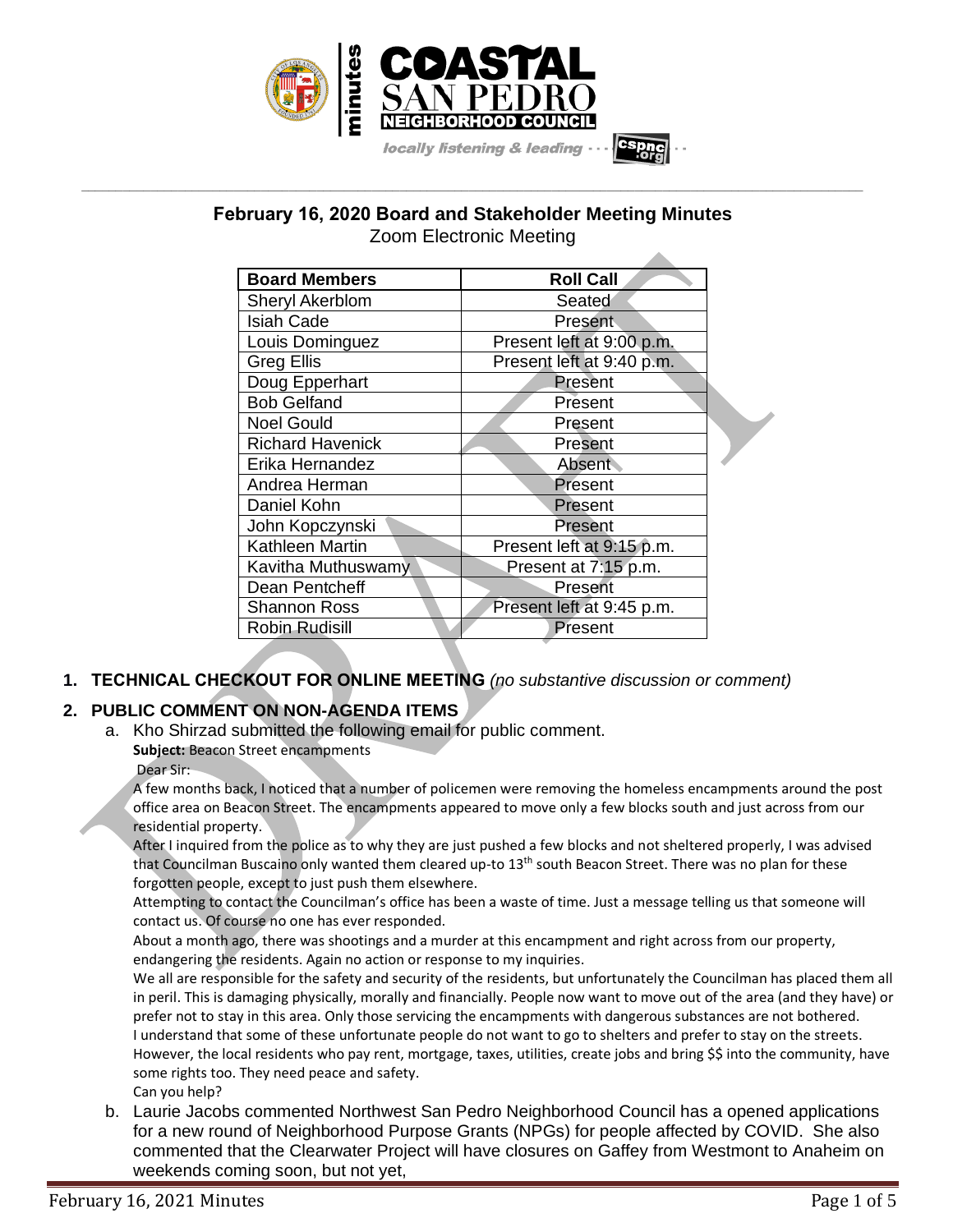

**February 16, 2020 Board and Stakeholder Meeting Minutes** Zoom Electronic Meeting

**\_\_\_\_\_\_\_\_\_\_\_\_\_\_\_\_\_\_\_\_\_\_\_\_\_\_\_\_\_\_\_\_\_\_\_\_\_\_\_\_\_\_\_\_\_\_\_\_\_\_\_\_\_\_\_\_\_\_\_\_\_\_\_\_\_\_\_\_\_\_\_\_\_\_\_\_\_\_\_\_\_\_\_\_\_\_\_\_\_\_\_\_\_\_\_\_\_\_\_\_\_\_\_\_\_\_\_\_\_\_\_\_\_**

| <b>Board Members</b>    | <b>Roll Call</b>          |  |
|-------------------------|---------------------------|--|
| <b>Sheryl Akerblom</b>  | Seated                    |  |
| Isiah Cade              | Present                   |  |
| Louis Dominguez         | Present left at 9:00 p.m. |  |
| Greg Ellis              | Present left at 9:40 p.m. |  |
| Doug Epperhart          | Present                   |  |
| <b>Bob Gelfand</b>      | Present                   |  |
| <b>Noel Gould</b>       | Present                   |  |
| <b>Richard Havenick</b> | Present                   |  |
| Erika Hernandez         | <b>Absent</b>             |  |
| Andrea Herman           | Present                   |  |
| Daniel Kohn             | Present                   |  |
| John Kopczynski         | Present                   |  |
| Kathleen Martin         | Present left at 9:15 p.m. |  |
| Kavitha Muthuswamy      | Present at 7:15 p.m.      |  |
| Dean Pentcheff          | Present                   |  |
| Shannon Ross            | Present left at 9:45 p.m. |  |
| <b>Robin Rudisill</b>   | Present                   |  |

# **1. TECHNICAL CHECKOUT FOR ONLINE MEETING** *(no substantive discussion or comment)*

# **2. PUBLIC COMMENT ON NON-AGENDA ITEMS**

a. Kho Shirzad submitted the following email for public comment.

**Subject:** Beacon Street encampments

Dear Sir:

A few months back, I noticed that a number of policemen were removing the homeless encampments around the post office area on Beacon Street. The encampments appeared to move only a few blocks south and just across from our residential property.

After I inquired from the police as to why they are just pushed a few blocks and not sheltered properly, I was advised that Councilman Buscaino only wanted them cleared up-to 13<sup>th</sup> south Beacon Street. There was no plan for these forgotten people, except to just push them elsewhere.

Attempting to contact the Councilman's office has been a waste of time. Just a message telling us that someone will contact us. Of course no one has ever responded.

About a month ago, there was shootings and a murder at this encampment and right across from our property, endangering the residents. Again no action or response to my inquiries.

We all are responsible for the safety and security of the residents, but unfortunately the Councilman has placed them all in peril. This is damaging physically, morally and financially. People now want to move out of the area (and they have) or prefer not to stay in this area. Only those servicing the encampments with dangerous substances are not bothered. I understand that some of these unfortunate people do not want to go to shelters and prefer to stay on the streets. However, the local residents who pay rent, mortgage, taxes, utilities, create jobs and bring \$\$ into the community, have some rights too. They need peace and safety. Can you help?

b. Laurie Jacobs commented Northwest San Pedro Neighborhood Council has a opened applications for a new round of Neighborhood Purpose Grants (NPGs) for people affected by COVID. She also commented that the Clearwater Project will have closures on Gaffey from Westmont to Anaheim on weekends coming soon, but not yet,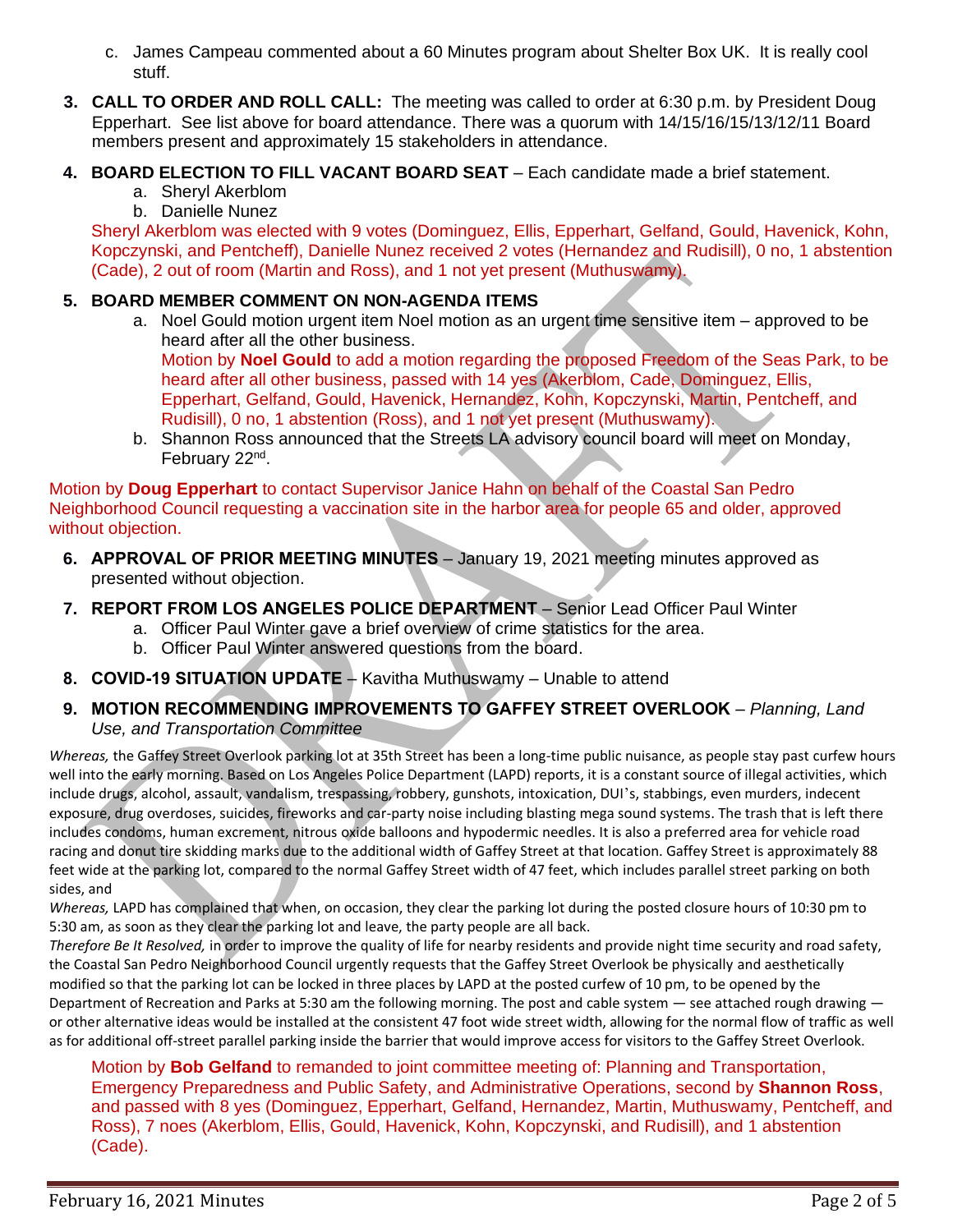- c. James Campeau commented about a 60 Minutes program about Shelter Box UK. It is really cool stuff.
- **3. CALL TO ORDER AND ROLL CALL:** The meeting was called to order at 6:30 p.m. by President Doug Epperhart. See list above for board attendance. There was a quorum with 14/15/16/15/13/12/11 Board members present and approximately 15 stakeholders in attendance.
- **4. BOARD ELECTION TO FILL VACANT BOARD SEAT** Each candidate made a brief statement.
	- a. Sheryl Akerblom
	- b. Danielle Nunez

Sheryl Akerblom was elected with 9 votes (Dominguez, Ellis, Epperhart, Gelfand, Gould, Havenick, Kohn, Kopczynski, and Pentcheff), Danielle Nunez received 2 votes (Hernandez and Rudisill), 0 no, 1 abstention (Cade), 2 out of room (Martin and Ross), and 1 not yet present (Muthuswamy).

# **5. BOARD MEMBER COMMENT ON NON-AGENDA ITEMS**

a. Noel Gould motion urgent item Noel motion as an urgent time sensitive item – approved to be heard after all the other business.

Motion by **Noel Gould** to add a motion regarding the proposed Freedom of the Seas Park, to be heard after all other business, passed with 14 yes (Akerblom, Cade, Dominguez, Ellis, Epperhart, Gelfand, Gould, Havenick, Hernandez, Kohn, Kopczynski, Martin, Pentcheff, and Rudisill), 0 no, 1 abstention (Ross), and 1 not yet present (Muthuswamy).

b. Shannon Ross announced that the Streets LA advisory council board will meet on Monday, February 22<sup>nd</sup>.

Motion by **Doug Epperhart** to contact Supervisor Janice Hahn on behalf of the Coastal San Pedro Neighborhood Council requesting a vaccination site in the harbor area for people 65 and older, approved without objection.

- **6. APPROVAL OF PRIOR MEETING MINUTES** January 19, 2021 meeting minutes approved as presented without objection.
- **7. REPORT FROM LOS ANGELES POLICE DEPARTMENT** Senior Lead Officer Paul Winter
	- a. Officer Paul Winter gave a brief overview of crime statistics for the area.
	- b. Officer Paul Winter answered questions from the board.
- **8. COVID-19 SITUATION UPDATE** Kavitha Muthuswamy Unable to attend
- **9. MOTION RECOMMENDING IMPROVEMENTS TO GAFFEY STREET OVERLOOK** *Planning, Land Use, and Transportation Committee*

*Whereas,* the Gaffey Street Overlook parking lot at 35th Street has been a long-time public nuisance, as people stay past curfew hours well into the early morning. Based on Los Angeles Police Department (LAPD) reports, it is a constant source of illegal activities, which include drugs, alcohol, assault, vandalism, trespassing, robbery, gunshots, intoxication, DUI 's, stabbings, even murders, indecent exposure, drug overdoses, suicides, fireworks and car-party noise including blasting mega sound systems. The trash that is left there includes condoms, human excrement, nitrous oxide balloons and hypodermic needles. It is also a preferred area for vehicle road racing and donut tire skidding marks due to the additional width of Gaffey Street at that location. Gaffey Street is approximately 88 feet wide at the parking lot, compared to the normal Gaffey Street width of 47 feet, which includes parallel street parking on both sides, and

*Whereas,* LAPD has complained that when, on occasion, they clear the parking lot during the posted closure hours of 10:30 pm to 5:30 am, as soon as they clear the parking lot and leave, the party people are all back.

*Therefore Be It Resolved,* in order to improve the quality of life for nearby residents and provide night time security and road safety, the Coastal San Pedro Neighborhood Council urgently requests that the Gaffey Street Overlook be physically and aesthetically modified so that the parking lot can be locked in three places by LAPD at the posted curfew of 10 pm, to be opened by the Department of Recreation and Parks at 5:30 am the following morning. The post and cable system — see attached rough drawing or other alternative ideas would be installed at the consistent 47 foot wide street width, allowing for the normal flow of traffic as well as for additional off-street parallel parking inside the barrier that would improve access for visitors to the Gaffey Street Overlook.

Motion by **Bob Gelfand** to remanded to joint committee meeting of: Planning and Transportation, Emergency Preparedness and Public Safety, and Administrative Operations, second by **Shannon Ross**, and passed with 8 yes (Dominguez, Epperhart, Gelfand, Hernandez, Martin, Muthuswamy, Pentcheff, and Ross), 7 noes (Akerblom, Ellis, Gould, Havenick, Kohn, Kopczynski, and Rudisill), and 1 abstention (Cade).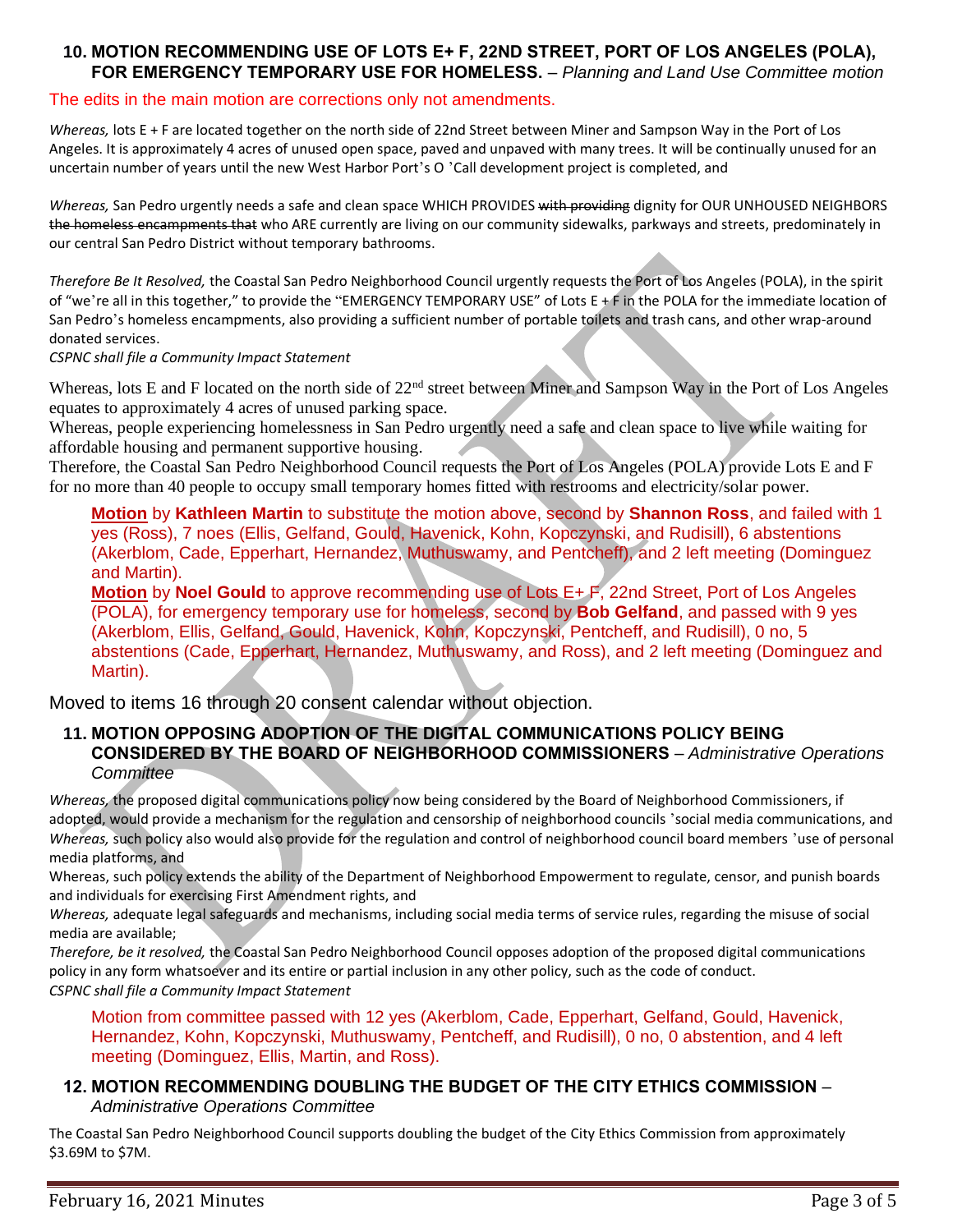#### **10. MOTION RECOMMENDING USE OF LOTS E+ F, 22ND STREET, PORT OF LOS ANGELES (POLA), FOR EMERGENCY TEMPORARY USE FOR HOMELESS.** – *Planning and Land Use Committee motion*

#### The edits in the main motion are corrections only not amendments.

*Whereas,* lots E + F are located together on the north side of 22nd Street between Miner and Sampson Way in the Port of Los Angeles. It is approximately 4 acres of unused open space, paved and unpaved with many trees. It will be continually unused for an uncertain number of years until the new West Harbor Port's O 'Call development project is completed, and

*Whereas,* San Pedro urgently needs a safe and clean space WHICH PROVIDES with providing dignity for OUR UNHOUSED NEIGHBORS the homeless encampments that who ARE currently are living on our community sidewalks, parkways and streets, predominately in our central San Pedro District without temporary bathrooms.

*Therefore Be It Resolved,* the Coastal San Pedro Neighborhood Council urgently requests the Port of Los Angeles (POLA), in the spirit of "we're all in this together," to provide the "EMERGENCY TEMPORARY USE" of Lots E + F in the POLA for the immediate location of San Pedro's homeless encampments, also providing a sufficient number of portable toilets and trash cans, and other wrap-around donated services.

*CSPNC shall file a Community Impact Statement*

Whereas, lots E and F located on the north side of 22<sup>nd</sup> street between Miner and Sampson Way in the Port of Los Angeles equates to approximately 4 acres of unused parking space.

Whereas, people experiencing homelessness in San Pedro urgently need a safe and clean space to live while waiting for affordable housing and permanent supportive housing.

Therefore, the Coastal San Pedro Neighborhood Council requests the Port of Los Angeles (POLA) provide Lots E and F for no more than 40 people to occupy small temporary homes fitted with restrooms and electricity/solar power.

**Motion** by **Kathleen Martin** to substitute the motion above, second by **Shannon Ross**, and failed with 1 yes (Ross), 7 noes (Ellis, Gelfand, Gould, Havenick, Kohn, Kopczynski, and Rudisill), 6 abstentions (Akerblom, Cade, Epperhart, Hernandez, Muthuswamy, and Pentcheff), and 2 left meeting (Dominguez and Martin).

**Motion** by **Noel Gould** to approve recommending use of Lots E+ F, 22nd Street, Port of Los Angeles (POLA), for emergency temporary use for homeless, second by **Bob Gelfand**, and passed with 9 yes (Akerblom, Ellis, Gelfand, Gould, Havenick, Kohn, Kopczynski, Pentcheff, and Rudisill), 0 no, 5 abstentions (Cade, Epperhart, Hernandez, Muthuswamy, and Ross), and 2 left meeting (Dominguez and Martin).

Moved to items 16 through 20 consent calendar without objection.

## **11. MOTION OPPOSING ADOPTION OF THE DIGITAL COMMUNICATIONS POLICY BEING CONSIDERED BY THE BOARD OF NEIGHBORHOOD COMMISSIONERS** – *Administrative Operations Committee*

*Whereas,* the proposed digital communications policy now being considered by the Board of Neighborhood Commissioners, if adopted, would provide a mechanism for the regulation and censorship of neighborhood councils 'social media communications, and *Whereas,* such policy also would also provide for the regulation and control of neighborhood council board members 'use of personal media platforms, and

Whereas, such policy extends the ability of the Department of Neighborhood Empowerment to regulate, censor, and punish boards and individuals for exercising First Amendment rights, and

*Whereas,* adequate legal safeguards and mechanisms, including social media terms of service rules, regarding the misuse of social media are available;

*Therefore, be it resolved,* the Coastal San Pedro Neighborhood Council opposes adoption of the proposed digital communications policy in any form whatsoever and its entire or partial inclusion in any other policy, such as the code of conduct. *CSPNC shall file a Community Impact Statement*

Motion from committee passed with 12 yes (Akerblom, Cade, Epperhart, Gelfand, Gould, Havenick, Hernandez, Kohn, Kopczynski, Muthuswamy, Pentcheff, and Rudisill), 0 no, 0 abstention, and 4 left meeting (Dominguez, Ellis, Martin, and Ross).

## **12. MOTION RECOMMENDING DOUBLING THE BUDGET OF THE CITY ETHICS COMMISSION** – *Administrative Operations Committee*

The Coastal San Pedro Neighborhood Council supports doubling the budget of the City Ethics Commission from approximately \$3.69M to \$7M.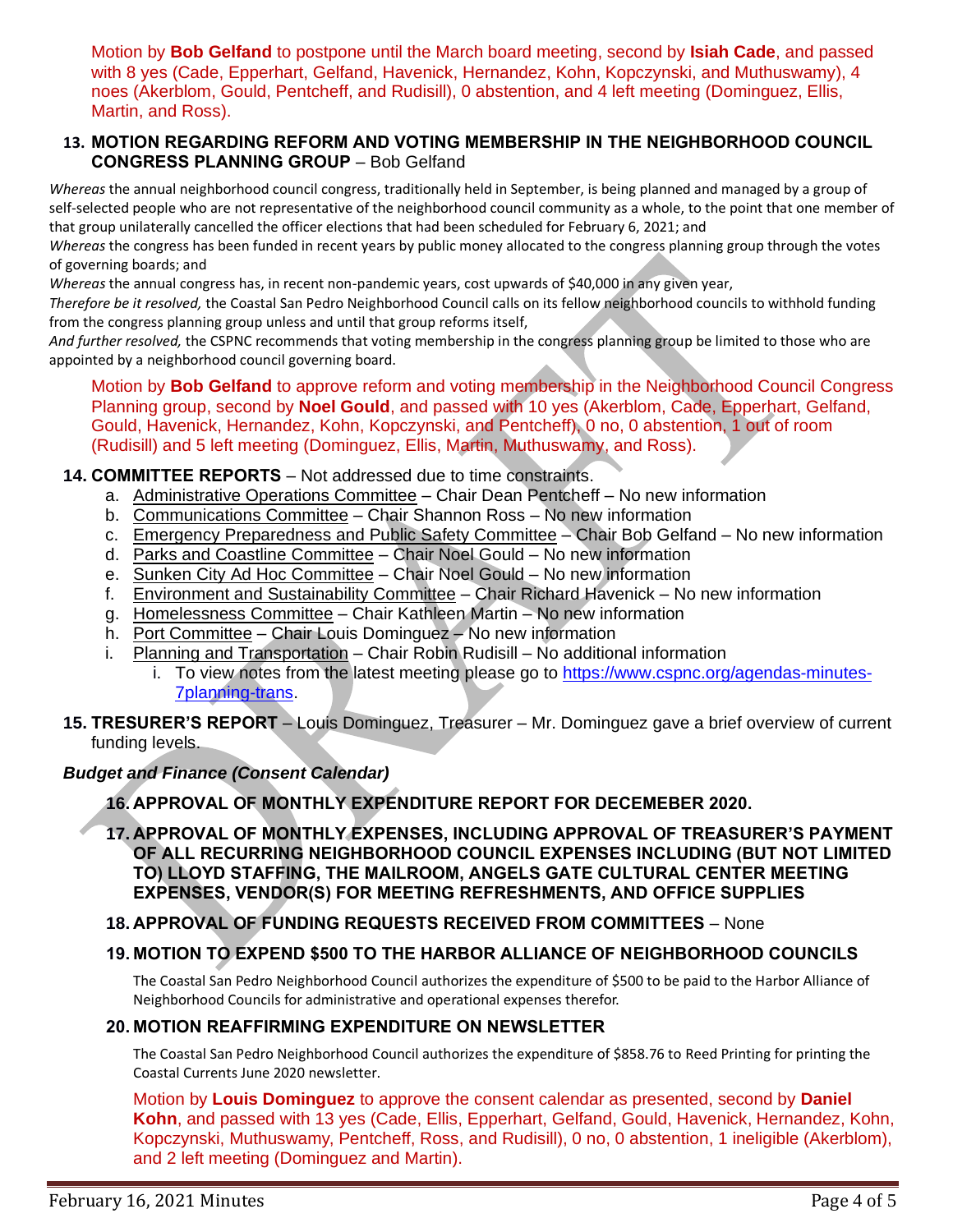Motion by **Bob Gelfand** to postpone until the March board meeting, second by **Isiah Cade**, and passed with 8 yes (Cade, Epperhart, Gelfand, Havenick, Hernandez, Kohn, Kopczynski, and Muthuswamy), 4 noes (Akerblom, Gould, Pentcheff, and Rudisill), 0 abstention, and 4 left meeting (Dominguez, Ellis, Martin, and Ross).

## **13. MOTION REGARDING REFORM AND VOTING MEMBERSHIP IN THE NEIGHBORHOOD COUNCIL CONGRESS PLANNING GROUP** – Bob Gelfand

*Whereas* the annual neighborhood council congress, traditionally held in September, is being planned and managed by a group of self-selected people who are not representative of the neighborhood council community as a whole, to the point that one member of that group unilaterally cancelled the officer elections that had been scheduled for February 6, 2021; and

*Whereas* the congress has been funded in recent years by public money allocated to the congress planning group through the votes of governing boards; and

*Whereas* the annual congress has, in recent non-pandemic years, cost upwards of \$40,000 in any given year,

*Therefore be it resolved,* the Coastal San Pedro Neighborhood Council calls on its fellow neighborhood councils to withhold funding from the congress planning group unless and until that group reforms itself,

*And further resolved,* the CSPNC recommends that voting membership in the congress planning group be limited to those who are appointed by a neighborhood council governing board.

Motion by **Bob Gelfand** to approve reform and voting membership in the Neighborhood Council Congress Planning group, second by **Noel Gould**, and passed with 10 yes (Akerblom, Cade, Epperhart, Gelfand, Gould, Havenick, Hernandez, Kohn, Kopczynski, and Pentcheff), 0 no, 0 abstention, 1 out of room (Rudisill) and 5 left meeting (Dominguez, Ellis, Martin, Muthuswamy, and Ross).

## **14. COMMITTEE REPORTS** – Not addressed due to time constraints.

- a. Administrative Operations Committee Chair Dean Pentcheff No new information
- b. Communications Committee Chair Shannon Ross No new information
- c. Emergency Preparedness and Public Safety Committee Chair Bob Gelfand No new information
- d. Parks and Coastline Committee Chair Noel Gould No new information
- e. Sunken City Ad Hoc Committee Chair Noel Gould No new information
- f. Environment and Sustainability Committee Chair Richard Havenick No new information
- g. Homelessness Committee Chair Kathleen Martin No new information
- h. Port Committee Chair Louis Dominguez No new information
- i. Planning and Transportation Chair Robin Rudisill No additional information
	- i. To view notes from the latest meeting please go to [https://www.cspnc.org/agendas-minutes-](https://www.cspnc.org/agendas-minutes-7planning-trans)[7planning-trans.](https://www.cspnc.org/agendas-minutes-7planning-trans)
- **15. TRESURER'S REPORT** Louis Dominguez, Treasurer Mr. Dominguez gave a brief overview of current funding levels.

## *Budget and Finance (Consent Calendar)*

**16. APPROVAL OF MONTHLY EXPENDITURE REPORT FOR DECEMEBER 2020.**

**17. APPROVAL OF MONTHLY EXPENSES, INCLUDING APPROVAL OF TREASURER'S PAYMENT OF ALL RECURRING NEIGHBORHOOD COUNCIL EXPENSES INCLUDING (BUT NOT LIMITED TO) LLOYD STAFFING, THE MAILROOM, ANGELS GATE CULTURAL CENTER MEETING EXPENSES, VENDOR(S) FOR MEETING REFRESHMENTS, AND OFFICE SUPPLIES**

## **18. APPROVAL OF FUNDING REQUESTS RECEIVED FROM COMMITTEES** – None

## **19. MOTION TO EXPEND \$500 TO THE HARBOR ALLIANCE OF NEIGHBORHOOD COUNCILS**

The Coastal San Pedro Neighborhood Council authorizes the expenditure of \$500 to be paid to the Harbor Alliance of Neighborhood Councils for administrative and operational expenses therefor.

# **20. MOTION REAFFIRMING EXPENDITURE ON NEWSLETTER**

The Coastal San Pedro Neighborhood Council authorizes the expenditure of \$858.76 to Reed Printing for printing the Coastal Currents June 2020 newsletter.

Motion by **Louis Dominguez** to approve the consent calendar as presented, second by **Daniel Kohn**, and passed with 13 yes (Cade, Ellis, Epperhart, Gelfand, Gould, Havenick, Hernandez, Kohn, Kopczynski, Muthuswamy, Pentcheff, Ross, and Rudisill), 0 no, 0 abstention, 1 ineligible (Akerblom), and 2 left meeting (Dominguez and Martin).